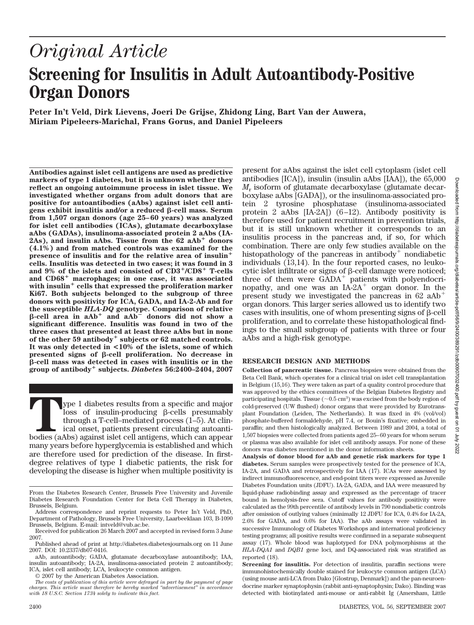# Downloaded from http://diabetesjournals.org/diabetes/article-pdf/56/9/2400/389291/zdb00907002400.pdf by guest on 01 Downloaded from http://diabetesjournals.org/diabetes/article-pdf/56/9/2400/389291/zdb00907002400.pdf by guest on 01 July 2022

2022<br>2022

# *Original Article* **Screening for Insulitis in Adult Autoantibody-Positive Organ Donors**

**Peter In't Veld, Dirk Lievens, Joeri De Grijse, Zhidong Ling, Bart Van der Auwera, Miriam Pipeleers-Marichal, Frans Gorus, and Daniel Pipeleers**

**Antibodies against islet cell antigens are used as predictive markers of type 1 diabetes, but it is unknown whether they reflect an ongoing autoimmune process in islet tissue. We investigated whether organs from adult donors that are positive for autoantibodies (aAbs) against islet cell antigens exhibit insulitis and/or a reduced ß-cell mass. Serum from 1,507 organ donors (age 25–60 years) was analyzed for islet cell antibodies (ICAs), glutamate decarboxylase aAbs (GADAs), insulinoma-associated protein 2 aAbs (IA-**2As), and insulin aAbs. Tissue from the 62 aAb<sup>+</sup> donors **(4.1%) and from matched controls was examined for the presence of insulitis and for the relative area of insulin cells. Insulitis was detected in two cases; it was found in 3 and 9% of the islets and consisted of CD3**-**/CD8**- **T-cells and CD68**- **macrophages; in one case, it was associated with insulin**- **cells that expressed the proliferation marker Ki67. Both subjects belonged to the subgroup of three donors with positivity for ICA, GADA, and IA-2-Ab and for the susceptible** *HLA-DQ* **genotype. Comparison of relative**  $\beta$ -cell area in  $aAb^+$  and  $aAb^-$  donors did not show a **significant difference. Insulitis was found in two of the three cases that presented at least three aAbs but in none of the other 59 antibody**- **subjects or 62 matched controls. It was only detected in <10% of the islets, some of which presented signs of β-cell proliferation. No decrease in -cell mass was detected in cases with insulitis or in the group of antibody**- **subjects.** *Diabetes* **56:2400–2404, 2007**

**T**ype 1 diabetes results from a specific and major  $\cos$  of insulin-producing  $\beta$ -cells presumably through a T-cell–mediated process (1–5). At clinical onset, patients present circulating autoantibodies (aAbs) against islet cell antigens, which can appear many years before hyperglycemia is established and which are therefore used for prediction of the disease. In firstdegree relatives of type 1 diabetic patients, the risk for developing the disease is higher when multiple positivity is

present for aAbs against the islet cell cytoplasm (islet cell antibodies [ICA]), insulin (insulin aAbs [IAA]), the 65,000 *M*<sup>r</sup> isoform of glutamate decarboxylase (glutamate decarboxylase aAbs [GADA]), or the insulinoma-associated protein 2 tyrosine phosphatase (insulinoma-associated protein  $2$  aAbs  $[IA-2A]$ )  $(6-12)$ . Antibody positivity is therefore used for patient recruitment in prevention trials, but it is still unknown whether it corresponds to an insulitis process in the pancreas and, if so, for which combination. There are only few studies available on the histopathology of the pancreas in antibody<sup>+</sup> nondiabetic individuals (13,14). In the four reported cases, no leukocytic islet infiltrate or signs of  $\beta$ -cell damage were noticed; three of them were GADA<sup>+</sup> patients with polyendocrinopathy, and one was an  $IA-2A^+$  organ donor. In the present study we investigated the pancreas in  $62$  aAb<sup>+</sup> organ donors. This larger series allowed us to identify two cases with insulitis, one of whom presenting signs of  $\beta$ -cell proliferation, and to correlate these histopathological findings to the small subgroup of patients with three or four aAbs and a high-risk genotype.

# **RESEARCH DESIGN AND METHODS**

**Collection of pancreatic tissue.** Pancreas biopsies were obtained from the Beta Cell Bank, which operates for a clinical trial on islet cell transplantation in Belgium (15,16). They were taken as part of a quality control procedure that was approved by the ethics committees of the Belgian Diabetes Registry and participating hospitals. Tissue ( $\sim$ 0.5 cm $^3)$  was excised from the body region of cold-preserved (UW flushed) donor organs that were provided by Eurotransplant Foundation (Leiden, The Netherlands). It was fixed in 4% (vol/vol) phosphate-buffered formaldehyde, pH 7.4, or Bouin's fixative; embedded in paraffin; and then histologically analyzed. Between 1989 and 2004, a total of 1,507 biopsies were collected from patients aged 25– 60 years for whom serum or plasma was also available for islet cell antibody assays. For none of these donors was diabetes mentioned in the donor information sheets.

**Analysis of donor blood for aAb and genetic risk markers for type 1 diabetes.** Serum samples were prospectively tested for the presence of ICA, IA-2A, and GADA and retrospectively for IAA (17). ICAs were assessed by indirect immunofluorescence, and end-point titers were expressed as Juvenile Diabetes Foundation units (JDFU). IA-2A, GADA, and IAA were measured by liquid-phase radiobinding assay and expressed as the percentage of tracer bound in hemolysis-free sera. Cutoff values for antibody positivity were calculated as the 99th percentile of antibody levels in 790 nondiabetic controls after omission of outlying values (minimally 12 JDFU for ICA, 0.4% for IA-2A, 2.6% for GADA, and 0.6% for IAA). The aAb assays were validated in successive Immunology of Diabetes Workshops and international proficiency testing programs; all positive results were confirmed in a separate subsequent assay (17). Whole blood was haplotyped for DNA polymorphisms at the *HLA-DQA1* and *DQB1* gene loci, and DQ-associated risk was stratified as reported (18).

**Screening for insulitis.** For detection of insulitis, paraffin sections were immunohistochemically double stained for leukocyte common antigen (LCA) (using mouse anti-LCA from Dako [Glostrup, Denmark]) and the pan-neuroendocrine marker synaptophysin (rabbit anti-synaptophysin; Dako). Binding was detected with biotinylated anti-mouse or anti-rabbit Ig (Amersham, Little

From the Diabetes Research Center, Brussels Free University and Juvenile Diabetes Research Foundation Center for Beta Cell Therapy in Diabetes, Brussels, Belgium.

Address correspondence and reprint requests to Peter In't Veld, PhD, Department of Pathology, Brussels Free University, Laarbeeklaan 103, B-1090 Brussels, Belgium. E-mail: intveld@vub.ac.be.

Received for publication 26 March 2007 and accepted in revised form 3 June 2007.

Published ahead of print at http://diabetes.diabetesjournals.org on 11 June 2007. DOI: 10.2337/db07-0416.

aAb, autoantibody; GADA, glutamate decarboxylase autoantibody; IAA, insulin autoantibody; IA-2A, insulinoma-associated protein 2 autoantibody; ICA, islet cell antibody; LCA, leukocyte common antigen.

<sup>© 2007</sup> by the American Diabetes Association.

*The costs of publication of this article were defrayed in part by the payment of page charges. This article must therefore be hereby marked "advertisement" in accordance with 18 U.S.C. Section 1734 solely to indicate this fact.*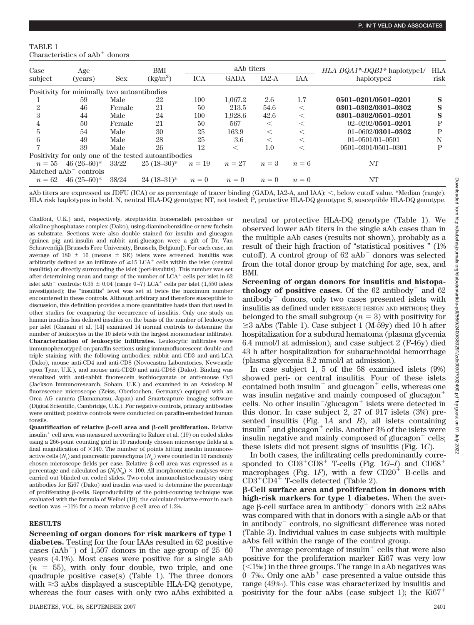### TABLE 1 Characteristics of aAb<sup>+</sup> donors

| Case           | Age                                                  |            | BMI<br>$\text{kg/m}^2$ | aAb titers |             |         |         | <i>HLA DQA1<sup>*</sup>-DQB1<sup>*</sup> haplotype1/</i> | <b>HLA</b> |
|----------------|------------------------------------------------------|------------|------------------------|------------|-------------|---------|---------|----------------------------------------------------------|------------|
| subject        | (years)                                              | <b>Sex</b> |                        | <b>ICA</b> | <b>GADA</b> | $IA2-A$ | IAA     | haplotype2                                               | risk       |
|                | Positivity for minimally two autoantibodies          |            |                        |            |             |         |         |                                                          |            |
|                | 59                                                   | Male       | 22                     | 100        | 1.067.2     | 2.6     | 1.7     | 0501-0201/0501-0201                                      | S          |
| $\overline{2}$ | 46                                                   | Female     | 21                     | 50         | 213.5       | 54.6    | $\,<\,$ | 0301-0302/0301-0302                                      | S          |
| 3              | 44                                                   | Male       | 24                     | 100        | 1,928.6     | 42.6    | $\,<$   | 0301-0302/0501-0201                                      | S          |
| 4              | 50                                                   | Female     | 21                     | 50         | 567         |         | $\,<$   | $02 - 0202/0501 - 0201$                                  | Р          |
| $5^{\circ}$    | 54                                                   | Male       | 30                     | 25         | 163.9       | $\,<\,$ | $\,<$   | $01 - 0602/0301 - 0302$                                  | Р          |
| 6              | 49                                                   | Male       | 28                     | 25         | 3.6         | $\,<\,$ | $\,<$   | $01 - 0501/01 - 0501$                                    | N          |
|                | 39                                                   | Male       | 26                     | 12         | $\,<\,$     | $1.0\,$ | $\,<\,$ | 0501-0301/0501-0301                                      | Р          |
|                | Positivity for only one of the tested autoantibodies |            |                        |            |             |         |         |                                                          |            |
| $n=55$         | $46(26-60)*$                                         | 33/22      | $25(18-30)*$           | $n=19$     | $n=27$      | $n=3$   | $n=6$   | NT                                                       |            |
|                | Matched $aAb$ <sup>-</sup> controls                  |            |                        |            |             |         |         |                                                          |            |
| $n = 62$       | $46(25-60)*$                                         | 38/24      | $24(18-31)*$           | $n=0$      | $n=0$       | $n=0$   | $n=0$   | NT                                                       |            |

aAb titers are expressed as JDFU (ICA) or as percentage of tracer binding (GADA, IA2-A, and IAA);  $\lt$ , below cutoff value. \*Median (range). HLA risk haplotypes in bold. N, neutral HLA-DQ genotype; NT, not tested; P, protective HLA-DQ genotype; S, susceptible HLA-DQ genotype.

Chalfont, U.K.) and, respectively, streptavidin horseradish peroxidase or alkaline phosphatase complex (Dako), using diaminobenzidine or new fuchsin as substrate. Sections were also double stained for insulin and glucagon (guinea pig anti-insulin and rabbit anti-glucagon were a gift of Dr. Van Schravendijk [Brussels Free University, Brussels, Belgium]). For each case, an average of 180  $\pm$  16 (means  $\pm$  SE) islets were screened. Insulitis was arbitrarily defined as an infiltrate of  $\geq$ 15 LCA<sup>+</sup> cells within the islet (central insulitis) or directly surrounding the islet (peri-insulitis). This number was set after determining mean and range of the number of  $LCA<sup>+</sup>$  cells per islet in 62 islet aAb<sup>-</sup> controls:  $0.35 \pm 0.04$  (range 0-7) LCA<sup>+</sup> cells per islet (1,550 islets investigated); the "insulitis" level was set at twice the maximum number encountered in these controls. Although arbitrary and therefore susceptible to discussion, this definition provides a more quantitative basis than that used in other studies for comparing the occurrence of insulitis. Only one study on human insulitis has defined insulitis on the basis of the number of leukocytes per islet (Gianani et al, [14] examined 14 normal controls to determine the number of leukocytes in the 10 islets with the largest mononuclear infiltrate). **Characterization of leukocytic infiltrates.** Leukocytic infiltrates were immunophenotyped on paraffin sections using immunofluorescent double and triple staining with the following antibodies: rabbit anti-CD3 and anti-LCA (Dako), mouse anti-CD4 and anti-CD8 (Novocastra Laboratories, Newcastle upon Tyne, U.K.), and mouse anti-CD20 and anti-CD68 (Dako). Binding was visualized with anti-rabbit fluorescein isothiocyanate or anti-mouse Cy3 (Jackson Immunoresearch, Soham, U.K.) and examined in an Axioskop M fluorescence microscope (Zeiss, Oberkochen, Germany) equipped with an Orca AG camera (Hamamatsu, Japan) and Smartcapture imaging software (Digital Scientific, Cambridge, U.K.). For negative controls, primary antibodies were omitted; positive controls were conducted on paraffin-embedded human tonsils.

**Quantification of relative β-cell area and β-cell proliferation.** Relative insulin- cell area was measured according to Rahier et al. (19) on coded slides using a 266-point counting grid in 10 randomly chosen microscope fields at a final magnification of  $\times$ 140. The number of points hitting insulin immunoreactive cells  $(N_{\rm i})$  and pancreatic parenchyma  $(N_{\rm p})$  were counted in 10 randomly chosen microscope fields per case. Relative  $\hat{B}$ -cell area was expressed as a percentage and calculated as  $(N_i/N_{\rm p}) \times 100$ . All morphometric analyses were carried out blinded on coded slides. Two-color immunohistochemistry using antibodies for Ki67 (Dako) and insulin was used to determine the percentage of proliferating  $\beta$ -cells. Reproducibility of the point-counting technique was evaluated with the formula of Weibel (19); the calculated relative error in each section was  $\sim$ 11% for a mean relative  $\beta$ -cell area of 1.2%.

# **RESULTS**

**Screening of organ donors for risk markers of type 1 diabetes.** Testing for the four IAAs resulted in 62 positive cases (aAb<sup>+</sup>) of 1,507 donors in the age-group of 25–60 years (4.1%). Most cases were positive for a single aAb  $(n = 55)$ , with only four double, two triple, and one quadruple positive case(s) (Table 1). The three donors with  $\geq$ 3 aAbs displayed a susceptible HLA-DQ genotype, whereas the four cases with only two aAbs exhibited a neutral or protective HLA-DQ genotype (Table 1). We observed lower aAb titers in the single aAb cases than in the multiple aAb cases (results not shown), probably as a result of their high fraction of "statistical positives " (1% cutoff). A control group of  $62$  aAb<sup> $-$ </sup> donors was selected from the total donor group by matching for age, sex, and BMI.

**Screening of organ donors for insulitis and histopathology of positive cases.** Of the  $62$  antibody<sup>+</sup> and  $62$ antibody<sup>-</sup> donors, only two cases presented islets with insulitis as defined under RESEARCH DESIGN AND METHODS; they belonged to the small subgroup  $(n = 3)$  with positivity for  $\geq$ 3 aAbs (Table 1). Case subject 1 (M-59y) died 10 h after hospitalization for a subdural hematoma (plasma glycemia 6.4 mmol/l at admission), and case subject 2 (F-46y) died 43 h after hospitalization for subarachnoidal hemorrhage (plasma glycemia 8.2 mmol/l at admission).

In case subject 1, 5 of the 58 examined islets (9%) showed peri- or central insulitis. Four of these islets contained both insulin<sup>+</sup> and glucagon<sup>+</sup> cells, whereas one was insulin negative and mainly composed of glucagon<sup>+</sup> cells. No other insulin<sup>-/glucagon<sup>+</sup> islets were detected in</sup> this donor. In case subject 2, 27 of 917 islets (3%) presented insulitis (Fig. 1*A* and *B*), all islets containing insulin<sup>+</sup> and glucagon<sup>+</sup> cells. Another 3% of the islets were insulin negative and mainly composed of glucagon $^+$  cells; these islets did not present signs of insulitis (Fig. 1*C*).

In both cases, the infiltrating cells predominantly corresponded to  $CD3^+CD8^+$  T-cells (Fig. 1*G–I*) and  $CD68^+$ macrophages (Fig. 1*F*), with a few  $CD20^{\frac{1}{2}}$  B-cells and  $CD3^{\text{+}}CD4^{\text{+}}$  T-cells detected (Table 2).

**-Cell surface area and proliferation in donors with high-risk markers for type 1 diabetes.** When the average  $\beta$ -cell surface area in antibody<sup>+</sup> donors with  $\geq 2$  aAbs was compared with that in donors with a single aAb or that in antibody<sup>-</sup> controls, no significant difference was noted (Table 3). Individual values in case subjects with multiple aAbs fell within the range of the control group.

The average percentage of insulin<sup>+</sup> cells that were also positive for the proliferation marker Ki67 was very low  $(1\%)$  in the three groups. The range in aAb negatives was  $0-7\%$ . Only one  $aAb<sup>+</sup>$  case presented a value outside this range (49‰). This case was characterized by insulitis and positivity for the four aAbs (case subject 1); the Ki67<sup>+</sup>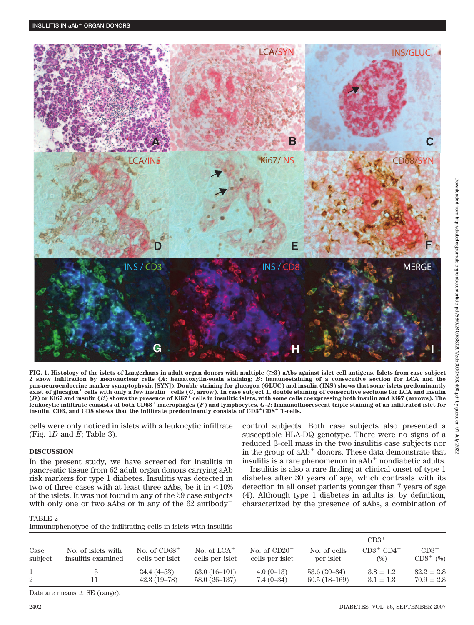

Downloaded from http://diabetesjournals.org/diabetes/article-pdf/56/9/2400/389291/zdb00907002400.pdf by guest on 01

Downloaded from http://diabetesjournals.org/diabetes/article-pdf/56/9/2400/389291/zdb00907002400.pdf by guest on 01 July 2022

2022<br>2022

**FIG. 1. Histology of the islets of Langerhans in adult organ donors with multiple (**>**3) aAbs against islet cell antigens. Islets from case subject 2 show infiltration by mononuclear cells (***A***: hematoxylin-eosin staining;** *B***: immunostaining of a consecutive section for LCA and the pan-neuroendocrine marker synaptophysin [SYN]). Double staining for glucagon (GLUC) and insulin (INS) shows that some islets predominantly exist of glucagon**- **cells with only a few insulin**- **cells (***C***, arrow). In case subject 1, double staining of consecutive sections for LCA and insulin (***D***) or Ki67 and insulin (***E***) shows the presence of Ki67**- **cells in insulitic islets, with some cells coexpressing both insulin and Ki67 (arrows). The leukocytic infiltrate consists of both CD68**- **macrophages (***F***) and lymphocytes.** *G***–***I***: Immunofluorescent triple staining of an infiltrated islet for insulin, CD3, and CD8 shows that the infiltrate predominantly consists of CD3**-**CD8**- **T-cells.**

cells were only noticed in islets with a leukocytic infiltrate (Fig. 1*D* and *E*; Table 3).

# **DISCUSSION**

In the present study, we have screened for insulitis in pancreatic tissue from 62 adult organ donors carrying aAb risk markers for type 1 diabetes. Insulitis was detected in two of three cases with at least three aAbs, be it in  $\leq 10\%$ of the islets. It was not found in any of the 59 case subjects with only one or two aAbs or in any of the 62 antibody

Immunophenotype of the infiltrating cells in islets with insulitis

control subjects. Both case subjects also presented a susceptible HLA-DQ genotype. There were no signs of a reduced  $\beta$ -cell mass in the two insulitis case subjects nor in the group of  $aAb<sup>+</sup>$  donors. These data demonstrate that insulitis is a rare phenomenon in  $aAb<sup>+</sup>$  nondiabetic adults.

Insulitis is also a rare finding at clinical onset of type 1 diabetes after 30 years of age, which contrasts with its detection in all onset patients younger than 7 years of age (4). Although type 1 diabetes in adults is, by definition, characterized by the presence of aAbs, a combination of

### TABLE 2

| municato prierior, pe or the municiality cemb in isleas what modified |                                   |                                              |                                   |                           |                           |                        |  |  |  |
|-----------------------------------------------------------------------|-----------------------------------|----------------------------------------------|-----------------------------------|---------------------------|---------------------------|------------------------|--|--|--|
|                                                                       |                                   |                                              |                                   | $CD3^+$                   |                           |                        |  |  |  |
| No. of islets with<br>insulitis examined                              | No. of $CD68+$<br>cells per islet | No. of $LCA$ <sup>+</sup><br>cells per islet | No. of $CD20+$<br>cells per islet | No. of cells<br>per islet | $CD3^+$ $CD4^+$<br>$(\%)$ | $CD3^+$<br>$CD8^+$ (%) |  |  |  |
|                                                                       | $24.4(4-53)$                      | $63.0(16-101)$                               | $4.0(0-13)$                       | $53.6(20-84)$             | $3.8 \pm 1.2$             | $82.2 \pm 2.8$         |  |  |  |
|                                                                       | $42.3(19-78)$                     | 58.0 (26–137)                                | $7.4(0-34)$                       | $60.5(18-169)$            | $3.1 \pm 1.3$             | $70.9 \pm 2.8$         |  |  |  |
|                                                                       |                                   |                                              |                                   |                           |                           |                        |  |  |  |

Data are means  $\pm$  SE (range).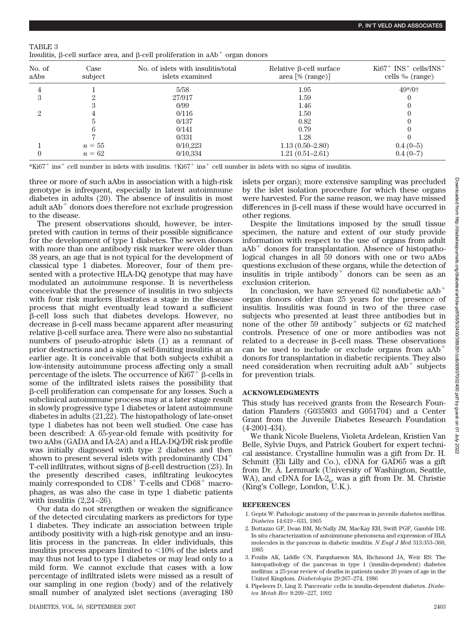| TABLE 3                                                                                                 |  |  |  |
|---------------------------------------------------------------------------------------------------------|--|--|--|
| Insulitis, $\beta$ -cell surface area, and $\beta$ -cell proliferation in aAb <sup>+</sup> organ donors |  |  |  |

| No. of<br>aAbs | Case<br>subject | No. of islets with insulitis/total<br>islets examined | Relative β-cell surface<br>$area [\% (range)]$ | $Ki67^+$ $INS^+$ cells/ $INS^+$<br>cells ‰ (range) |
|----------------|-----------------|-------------------------------------------------------|------------------------------------------------|----------------------------------------------------|
|                |                 | 5/58                                                  | 1.95                                           | $49*/0^+$                                          |
|                |                 | 27/917                                                | 1.59                                           |                                                    |
|                |                 | 0/99                                                  | 1.46                                           |                                                    |
|                |                 | 0/116                                                 | 1.50                                           |                                                    |
|                |                 | 0/137                                                 | 0.82                                           |                                                    |
|                |                 | 0/141                                                 | 0.79                                           |                                                    |
|                |                 | 0/331                                                 | 1.28                                           |                                                    |
|                | $n=55$          | 0/10.223                                              | $1.13(0.50 - 2.80)$                            | $0.4(0-5)$                                         |
|                | $n = 62$        | 0/10,334                                              | $1.21(0.51 - 2.61)$                            | $0.4(0-7)$                                         |

\*Ki67- ins- cell number in islets with insulitis. †Ki67- ins- cell number in islets with no signs of insulitis.

three or more of such aAbs in association with a high-risk genotype is infrequent, especially in latent autoimmune diabetes in adults (20). The absence of insulitis in most adult aAb<sup>+</sup> donors does therefore not exclude progression to the disease.

The present observations should, however, be interpreted with caution in terms of their possible significance for the development of type 1 diabetes. The seven donors with more than one antibody risk marker were older than 38 years, an age that is not typical for the development of classical type 1 diabetes. Moreover, four of them presented with a protective HLA-DQ genotype that may have modulated an autoimmune response. It is nevertheless conceivable that the presence of insulitis in two subjects with four risk markers illustrates a stage in the disease process that might eventually lead toward a sufficient  $\beta$ -cell loss such that diabetes develops. However, no  $decrease$  in  $\beta$ -cell mass became apparent after measuring  $relative \beta-cell surface area. There were also no substantial$ numbers of pseudo-atrophic islets (1) as a remnant of prior destructions and a sign of self-limiting insulitis at an earlier age. It is conceivable that both subjects exhibit a low-intensity autoimmune process affecting only a small percentage of the islets. The occurrence of  $\breve{\mathrm{Ki67}}^+$   $\beta$ -cells in some of the infiltrated islets raises the possibility that -cell proliferation can compensate for any losses. Such a subclinical autoimmune process may at a later stage result in slowly progressive type 1 diabetes or latent autoimmune diabetes in adults (21,22). The histopathology of late-onset type 1 diabetes has not been well studied. One case has been described: A 65-year-old female with positivity for two aAbs (GADA and IA-2A) and a HLA-DQ/DR risk profile was initially diagnosed with type 2 diabetes and then shown to present several islets with predominantly CD4<sup>+</sup> T-cell infiltrates, without signs of  $\beta$ -cell destruction (23). In the presently described cases, infiltrating leukocytes mainly corresponded to CD8<sup>+</sup> T-cells and CD68<sup>+</sup> macrophages, as was also the case in type 1 diabetic patients with insulitis  $(2,24-26)$ .

Our data do not strengthen or weaken the significance of the detected circulating markers as predictors for type 1 diabetes. They indicate an association between triple antibody positivity with a high-risk genotype and an insulitis process in the pancreas. In elder individuals, this insulitis process appears limited to  $\langle 10\%$  of the islets and may thus not lead to type 1 diabetes or may lead only to a mild form. We cannot exclude that cases with a low percentage of infiltrated islets were missed as a result of our sampling in one region (body) and of the relatively small number of analyzed islet sections (averaging 180

islets per organ); more extensive sampling was precluded by the islet isolation procedure for which these organs were harvested. For the same reason, we may have missed differences in  $\beta$ -cell mass if these would have occurred in other regions.

Despite the limitations imposed by the small tissue specimen, the nature and extent of our study provide information with respect to the use of organs from adult aAb<sup>+</sup> donors for transplantation. Absence of histopathological changes in all 59 donors with one or two aAbs questions exclusion of these organs, while the detection of insulitis in triple antibody<sup>+</sup> donors can be seen as an exclusion criterion.

In conclusion, we have screened  $62$  nondiabetic  $aAb<sup>+</sup>$ organ donors older than 25 years for the presence of insulitis. Insulitis was found in two of the three case subjects who presented at least three antibodies but in none of the other 59 antibody<sup>+</sup> subjects or 62 matched controls. Presence of one or more antibodies was not related to a decrease in  $\beta$ -cell mass. These observations can be used to include or exclude organs from  $aAb<sup>+</sup>$ donors for transplantation in diabetic recipients. They also need consideration when recruiting adult aAb<sup>+</sup> subjects for prevention trials.

# **ACKNOWLEDGMENTS**

This study has received grants from the Research Foundation Flanders (G035803 and G051704) and a Center Grant from the Juvenile Diabetes Research Foundation (4-2001-434).

We thank Nicole Buelens, Violeta Ardelean, Kristien Van Belle, Sylvie Duys, and Patrick Goubert for expert technical assistance. Crystalline humulin was a gift from Dr. H. Schmitt (Eli Lilly and Co.), cDNA for GAD65 was a gift from Dr. Å. Lernmark (University of Washington, Seattle, WA), and cDNA for IA-2<sub>ic</sub> was a gift from Dr. M. Christie (King's College, London, U.K.).

# **REFERENCES**

- 1. Gepts W: Pathologic anatomy of the pancreas in juvenile diabetes mellitus. *Diabetes* 14:619 – 633, 1965
- 2. Bottazzo GF, Dean BM, McNally JM, MacKay EH, Swift PGF, Gamble DR: In situ characterization of autoimmune phenomena and expression of HLA molecules in the pancreas in diabetic insulitis. *N Engl J Med* 313:353–360, 1985
- 3. Foulis AK, Liddle CN, Farquharson MA, Richmond JA, Weir RS: The histopathology of the pancreas in type 1 (insulin-dependent) diabetes mellitus: a 25-year review of deaths in patients under 20 years of age in the United Kingdom. *Diabetologia* 29:267–274, 1986
- 4. Pipeleers D, Ling Z: Pancreatic cells in insulin-dependent diabetes. *Diabetes Metab Rev* 8:209 –227, 1992